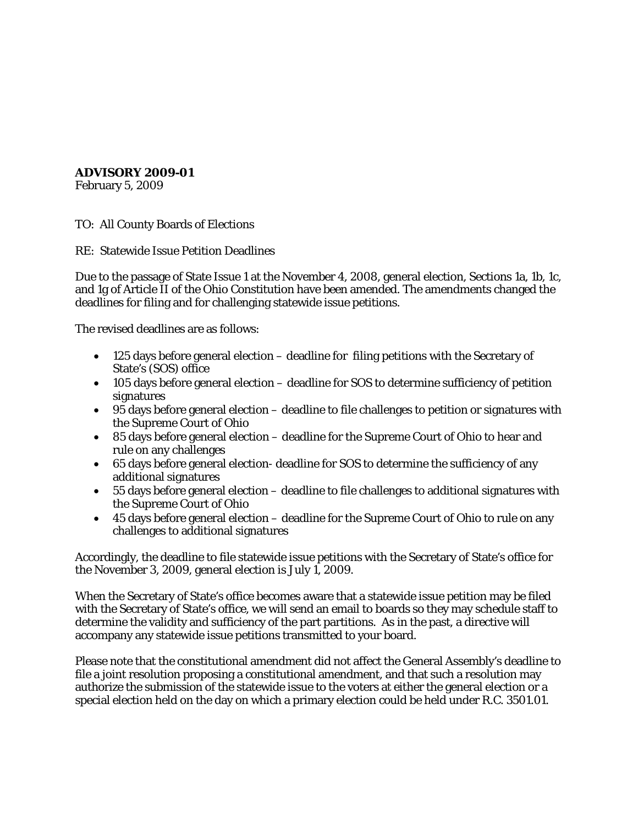## **ADVISORY 2009-01**

February 5, 2009

TO: All County Boards of Elections

RE: Statewide Issue Petition Deadlines

Due to the passage of State Issue 1 at the November 4, 2008, general election, Sections 1a, 1b, 1c, and 1g of Article II of the Ohio Constitution have been amended. The amendments changed the deadlines for filing and for challenging statewide issue petitions.

The revised deadlines are as follows:

- 125 days before general election deadline for filing petitions with the Secretary of State's (SOS) office
- 105 days before general election deadline for SOS to determine sufficiency of petition signatures
- 95 days before general election deadline to file challenges to petition or signatures with the Supreme Court of Ohio
- 85 days before general election deadline for the Supreme Court of Ohio to hear and rule on any challenges
- 65 days before general election- deadline for SOS to determine the sufficiency of any additional signatures
- 55 days before general election deadline to file challenges to additional signatures with the Supreme Court of Ohio
- 45 days before general election deadline for the Supreme Court of Ohio to rule on any challenges to additional signatures

Accordingly, the deadline to file statewide issue petitions with the Secretary of State's office for the November 3, 2009, general election is July 1, 2009.

When the Secretary of State's office becomes aware that a statewide issue petition may be filed with the Secretary of State's office, we will send an email to boards so they may schedule staff to determine the validity and sufficiency of the part partitions. As in the past, a directive will accompany any statewide issue petitions transmitted to your board.

Please note that the constitutional amendment did not affect the General Assembly's deadline to file a joint resolution proposing a constitutional amendment, and that such a resolution may authorize the submission of the statewide issue to the voters at either the general election or a special election held on the day on which a primary election could be held under R.C. 3501.01.